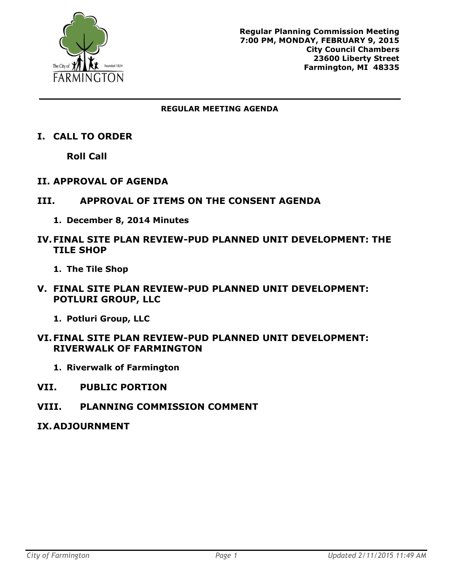

#### **REGULAR MEETING AGENDA**

**I. CALL TO ORDER**

**Roll Call**

- **II. APPROVAL OF AGENDA**
- **III. APPROVAL OF ITEMS ON THE CONSENT AGENDA**
	- **1. December 8, 2014 Minutes**
- **IV.FINAL SITE PLAN REVIEW-PUD PLANNED UNIT DEVELOPMENT: THE TILE SHOP**
	- **1. The Tile Shop**
- **V. FINAL SITE PLAN REVIEW-PUD PLANNED UNIT DEVELOPMENT: POTLURI GROUP, LLC**
	- **1. Potluri Group, LLC**

#### **VI.FINAL SITE PLAN REVIEW-PUD PLANNED UNIT DEVELOPMENT: RIVERWALK OF FARMINGTON**

- **1. Riverwalk of Farmington**
- **VII. PUBLIC PORTION**
- **VIII. PLANNING COMMISSION COMMENT**
- **IX.ADJOURNMENT**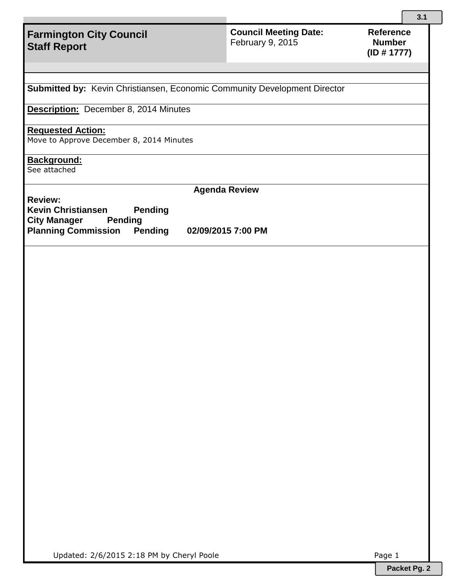**Council Meeting Date:**  February 9, 2015

**Submitted by:** Kevin Christiansen, Economic Community Development Director

**Description:** December 8, 2014 Minutes

#### **Requested Action:**

Move to Approve December 8, 2014 Minutes

# **Background:**

See attached

**Agenda Review**

**Review: Kevin Christiansen Pending City Manager Pending Planning Commission Pending 02/09/2015 7:00 PM**

Updated: 2/6/2015 2:18 PM by Cheryl Poole Page 1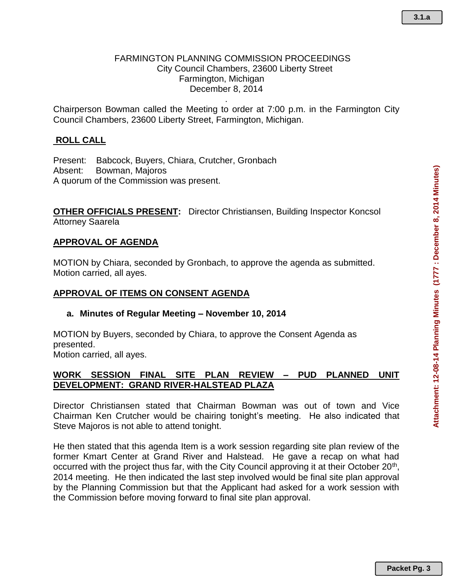#### FARMINGTON PLANNING COMMISSION PROCEEDINGS City Council Chambers, 23600 Liberty Street Farmington, Michigan December 8, 2014

Chairperson Bowman called the Meeting to order at 7:00 p.m. in the Farmington City Council Chambers, 23600 Liberty Street, Farmington, Michigan.

.

### **ROLL CALL**

Present: Babcock, Buyers, Chiara, Crutcher, Gronbach Absent: Bowman, Majoros A quorum of the Commission was present.

**OTHER OFFICIALS PRESENT:** Director Christiansen, Building Inspector Koncsol Attorney Saarela

#### **APPROVAL OF AGENDA**

MOTION by Chiara, seconded by Gronbach, to approve the agenda as submitted. Motion carried, all ayes.

#### **APPROVAL OF ITEMS ON CONSENT AGENDA**

#### **a. Minutes of Regular Meeting – November 10, 2014**

MOTION by Buyers, seconded by Chiara, to approve the Consent Agenda as presented. Motion carried, all ayes.

#### **WORK SESSION FINAL SITE PLAN REVIEW – PUD PLANNED UNIT DEVELOPMENT: GRAND RIVER-HALSTEAD PLAZA**

Director Christiansen stated that Chairman Bowman was out of town and Vice Chairman Ken Crutcher would be chairing tonight's meeting. He also indicated that Steve Majoros is not able to attend tonight.

He then stated that this agenda Item is a work session regarding site plan review of the former Kmart Center at Grand River and Halstead. He gave a recap on what had occurred with the project thus far, with the City Council approving it at their October 20<sup>th</sup>, 2014 meeting. He then indicated the last step involved would be final site plan approval by the Planning Commission but that the Applicant had asked for a work session with the Commission before moving forward to final site plan approval.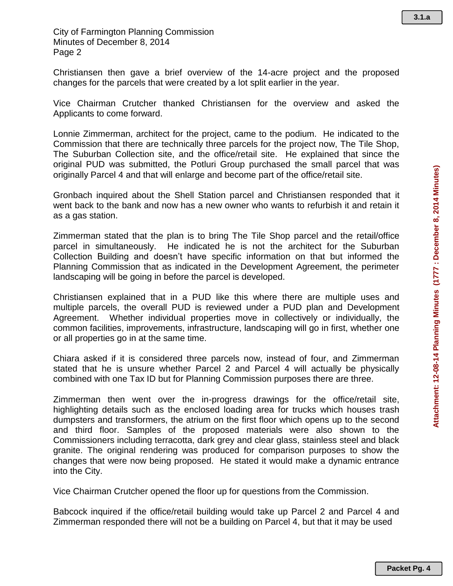City of Farmington Planning Commission Minutes of December 8, 2014 Page 2

Christiansen then gave a brief overview of the 14-acre project and the proposed changes for the parcels that were created by a lot split earlier in the year.

Vice Chairman Crutcher thanked Christiansen for the overview and asked the Applicants to come forward.

Lonnie Zimmerman, architect for the project, came to the podium. He indicated to the Commission that there are technically three parcels for the project now, The Tile Shop, The Suburban Collection site, and the office/retail site. He explained that since the original PUD was submitted, the Potluri Group purchased the small parcel that was originally Parcel 4 and that will enlarge and become part of the office/retail site.

Gronbach inquired about the Shell Station parcel and Christiansen responded that it went back to the bank and now has a new owner who wants to refurbish it and retain it as a gas station.

Zimmerman stated that the plan is to bring The Tile Shop parcel and the retail/office parcel in simultaneously. He indicated he is not the architect for the Suburban Collection Building and doesn't have specific information on that but informed the Planning Commission that as indicated in the Development Agreement, the perimeter landscaping will be going in before the parcel is developed.

Christiansen explained that in a PUD like this where there are multiple uses and multiple parcels, the overall PUD is reviewed under a PUD plan and Development Agreement. Whether individual properties move in collectively or individually, the common facilities, improvements, infrastructure, landscaping will go in first, whether one or all properties go in at the same time.

Chiara asked if it is considered three parcels now, instead of four, and Zimmerman stated that he is unsure whether Parcel 2 and Parcel 4 will actually be physically combined with one Tax ID but for Planning Commission purposes there are three.

Zimmerman then went over the in-progress drawings for the office/retail site, highlighting details such as the enclosed loading area for trucks which houses trash dumpsters and transformers, the atrium on the first floor which opens up to the second and third floor. Samples of the proposed materials were also shown to the Commissioners including terracotta, dark grey and clear glass, stainless steel and black granite. The original rendering was produced for comparison purposes to show the changes that were now being proposed. He stated it would make a dynamic entrance into the City.

Vice Chairman Crutcher opened the floor up for questions from the Commission.

Babcock inquired if the office/retail building would take up Parcel 2 and Parcel 4 and Zimmerman responded there will not be a building on Parcel 4, but that it may be used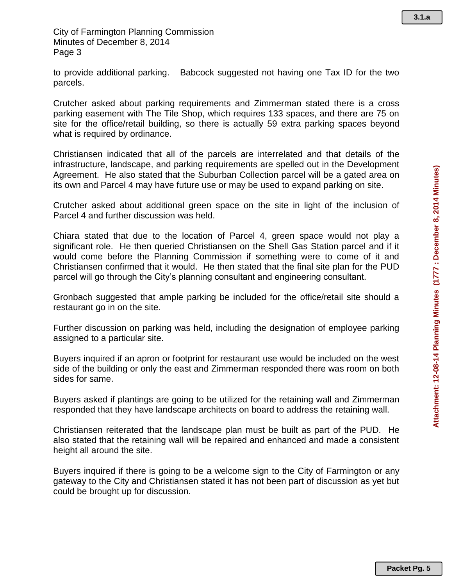to provide additional parking. Babcock suggested not having one Tax ID for the two parcels.

Crutcher asked about parking requirements and Zimmerman stated there is a cross parking easement with The Tile Shop, which requires 133 spaces, and there are 75 on site for the office/retail building, so there is actually 59 extra parking spaces beyond what is required by ordinance.

Christiansen indicated that all of the parcels are interrelated and that details of the infrastructure, landscape, and parking requirements are spelled out in the Development Agreement. He also stated that the Suburban Collection parcel will be a gated area on its own and Parcel 4 may have future use or may be used to expand parking on site.

Crutcher asked about additional green space on the site in light of the inclusion of Parcel 4 and further discussion was held.

Chiara stated that due to the location of Parcel 4, green space would not play a significant role. He then queried Christiansen on the Shell Gas Station parcel and if it would come before the Planning Commission if something were to come of it and Christiansen confirmed that it would. He then stated that the final site plan for the PUD parcel will go through the City's planning consultant and engineering consultant.

Gronbach suggested that ample parking be included for the office/retail site should a restaurant go in on the site.

Further discussion on parking was held, including the designation of employee parking assigned to a particular site.

Buyers inquired if an apron or footprint for restaurant use would be included on the west side of the building or only the east and Zimmerman responded there was room on both sides for same.

Buyers asked if plantings are going to be utilized for the retaining wall and Zimmerman responded that they have landscape architects on board to address the retaining wall.

Christiansen reiterated that the landscape plan must be built as part of the PUD. He also stated that the retaining wall will be repaired and enhanced and made a consistent height all around the site.

Buyers inquired if there is going to be a welcome sign to the City of Farmington or any gateway to the City and Christiansen stated it has not been part of discussion as yet but could be brought up for discussion.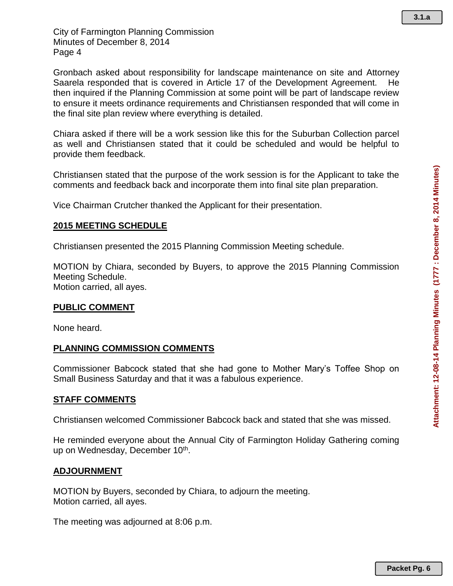Gronbach asked about responsibility for landscape maintenance on site and Attorney Saarela responded that is covered in Article 17 of the Development Agreement. He then inquired if the Planning Commission at some point will be part of landscape review to ensure it meets ordinance requirements and Christiansen responded that will come in the final site plan review where everything is detailed.

Chiara asked if there will be a work session like this for the Suburban Collection parcel as well and Christiansen stated that it could be scheduled and would be helpful to provide them feedback.

Christiansen stated that the purpose of the work session is for the Applicant to take the comments and feedback back and incorporate them into final site plan preparation.

Vice Chairman Crutcher thanked the Applicant for their presentation.

## **2015 MEETING SCHEDULE**

Christiansen presented the 2015 Planning Commission Meeting schedule.

MOTION by Chiara, seconded by Buyers, to approve the 2015 Planning Commission Meeting Schedule. Motion carried, all ayes.

#### **PUBLIC COMMENT**

None heard.

### **PLANNING COMMISSION COMMENTS**

Commissioner Babcock stated that she had gone to Mother Mary's Toffee Shop on Small Business Saturday and that it was a fabulous experience.

### **STAFF COMMENTS**

Christiansen welcomed Commissioner Babcock back and stated that she was missed.

He reminded everyone about the Annual City of Farmington Holiday Gathering coming up on Wednesday, December 10<sup>th</sup>.

### **ADJOURNMENT**

MOTION by Buyers, seconded by Chiara, to adjourn the meeting. Motion carried, all ayes.

The meeting was adjourned at 8:06 p.m.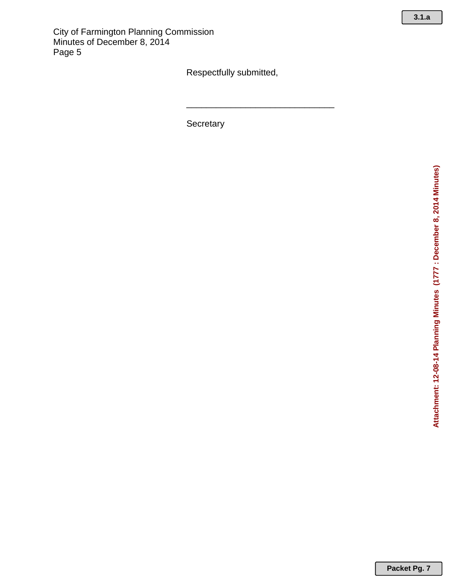Respectfully submitted,

\_\_\_\_\_\_\_\_\_\_\_\_\_\_\_\_\_\_\_\_\_\_\_\_\_\_\_\_\_\_

**Secretary** 

**Packet Pg. 7**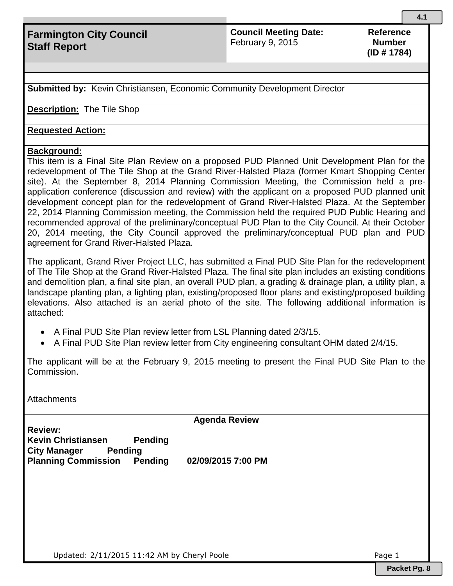## **Council Meeting Date:**  February 9, 2015

**Reference Number (ID # 1784)**

**Submitted by:** Kevin Christiansen, Economic Community Development Director

**Description:** The Tile Shop

## **Requested Action:**

## **Background:**

This item is a Final Site Plan Review on a proposed PUD Planned Unit Development Plan for the redevelopment of The Tile Shop at the Grand River-Halsted Plaza (former Kmart Shopping Center site). At the September 8, 2014 Planning Commission Meeting, the Commission held a preapplication conference (discussion and review) with the applicant on a proposed PUD planned unit development concept plan for the redevelopment of Grand River-Halsted Plaza. At the September 22, 2014 Planning Commission meeting, the Commission held the required PUD Public Hearing and recommended approval of the preliminary/conceptual PUD Plan to the City Council. At their October 20, 2014 meeting, the City Council approved the preliminary/conceptual PUD plan and PUD agreement for Grand River-Halsted Plaza.

The applicant, Grand River Project LLC, has submitted a Final PUD Site Plan for the redevelopment of The Tile Shop at the Grand River-Halsted Plaza. The final site plan includes an existing conditions and demolition plan, a final site plan, an overall PUD plan, a grading & drainage plan, a utility plan, a landscape planting plan, a lighting plan, existing/proposed floor plans and existing/proposed building elevations. Also attached is an aerial photo of the site. The following additional information is attached:

- A Final PUD Site Plan review letter from LSL Planning dated 2/3/15.
- A Final PUD Site Plan review letter from City engineering consultant OHM dated 2/4/15.

The applicant will be at the February 9, 2015 meeting to present the Final PUD Site Plan to the Commission.

**Attachments** 

**Agenda Review**

**Review: Kevin Christiansen Pending City Manager Pending Planning Commission Pending 02/09/2015 7:00 PM**

Updated:  $2/11/2015$  11:42 AM by Cheryl Poole  $P^2$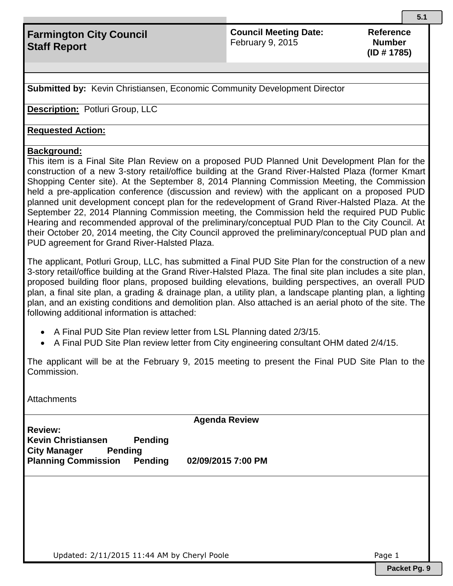## **Council Meeting Date:**  February 9, 2015

**Reference Number (ID # 1785)**

**Submitted by:** Kevin Christiansen, Economic Community Development Director

**Description:** Potluri Group, LLC

## **Requested Action:**

## **Background:**

This item is a Final Site Plan Review on a proposed PUD Planned Unit Development Plan for the construction of a new 3-story retail/office building at the Grand River-Halsted Plaza (former Kmart Shopping Center site). At the September 8, 2014 Planning Commission Meeting, the Commission held a pre-application conference (discussion and review) with the applicant on a proposed PUD planned unit development concept plan for the redevelopment of Grand River-Halsted Plaza. At the September 22, 2014 Planning Commission meeting, the Commission held the required PUD Public Hearing and recommended approval of the preliminary/conceptual PUD Plan to the City Council. At their October 20, 2014 meeting, the City Council approved the preliminary/conceptual PUD plan and PUD agreement for Grand River-Halsted Plaza.

The applicant, Potluri Group, LLC, has submitted a Final PUD Site Plan for the construction of a new 3-story retail/office building at the Grand River-Halsted Plaza. The final site plan includes a site plan, proposed building floor plans, proposed building elevations, building perspectives, an overall PUD plan, a final site plan, a grading & drainage plan, a utility plan, a landscape planting plan, a lighting plan, and an existing conditions and demolition plan. Also attached is an aerial photo of the site. The following additional information is attached:

- A Final PUD Site Plan review letter from LSL Planning dated 2/3/15.
- A Final PUD Site Plan review letter from City engineering consultant OHM dated 2/4/15.

The applicant will be at the February 9, 2015 meeting to present the Final PUD Site Plan to the Commission.

**Attachments** 

**Agenda Review**

**Review: Kevin Christiansen Pending City Manager Pending Planning Commission Pending 02/09/2015 7:00 PM**

Updated:  $2/11/2015$  11:44 AM by Cheryl Poole  $P^2$